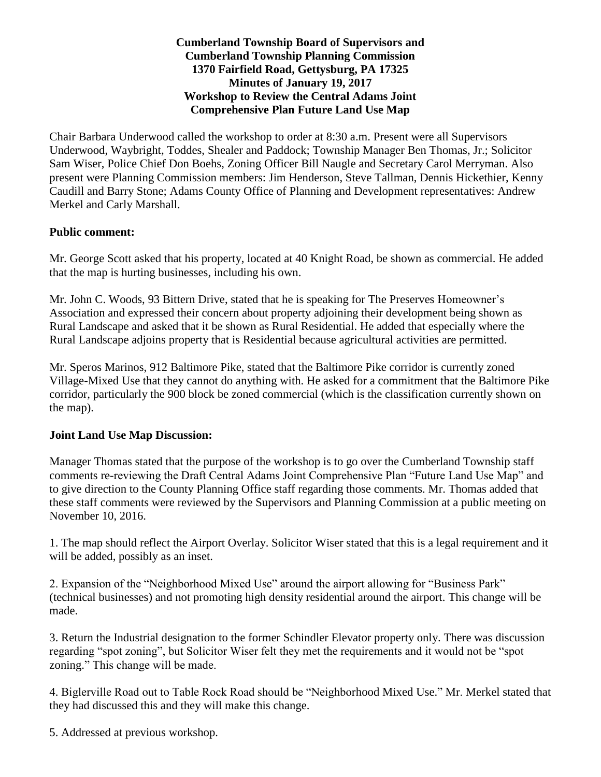## **Cumberland Township Board of Supervisors and Cumberland Township Planning Commission 1370 Fairfield Road, Gettysburg, PA 17325 Minutes of January 19, 2017 Workshop to Review the Central Adams Joint Comprehensive Plan Future Land Use Map**

Chair Barbara Underwood called the workshop to order at 8:30 a.m. Present were all Supervisors Underwood, Waybright, Toddes, Shealer and Paddock; Township Manager Ben Thomas, Jr.; Solicitor Sam Wiser, Police Chief Don Boehs, Zoning Officer Bill Naugle and Secretary Carol Merryman. Also present were Planning Commission members: Jim Henderson, Steve Tallman, Dennis Hickethier, Kenny Caudill and Barry Stone; Adams County Office of Planning and Development representatives: Andrew Merkel and Carly Marshall.

## **Public comment:**

Mr. George Scott asked that his property, located at 40 Knight Road, be shown as commercial. He added that the map is hurting businesses, including his own.

Mr. John C. Woods, 93 Bittern Drive, stated that he is speaking for The Preserves Homeowner's Association and expressed their concern about property adjoining their development being shown as Rural Landscape and asked that it be shown as Rural Residential. He added that especially where the Rural Landscape adjoins property that is Residential because agricultural activities are permitted.

Mr. Speros Marinos, 912 Baltimore Pike, stated that the Baltimore Pike corridor is currently zoned Village-Mixed Use that they cannot do anything with. He asked for a commitment that the Baltimore Pike corridor, particularly the 900 block be zoned commercial (which is the classification currently shown on the map).

## **Joint Land Use Map Discussion:**

Manager Thomas stated that the purpose of the workshop is to go over the Cumberland Township staff comments re-reviewing the Draft Central Adams Joint Comprehensive Plan "Future Land Use Map" and to give direction to the County Planning Office staff regarding those comments. Mr. Thomas added that these staff comments were reviewed by the Supervisors and Planning Commission at a public meeting on November 10, 2016.

1. The map should reflect the Airport Overlay. Solicitor Wiser stated that this is a legal requirement and it will be added, possibly as an inset.

2. Expansion of the "Neighborhood Mixed Use" around the airport allowing for "Business Park" (technical businesses) and not promoting high density residential around the airport. This change will be made.

3. Return the Industrial designation to the former Schindler Elevator property only. There was discussion regarding "spot zoning", but Solicitor Wiser felt they met the requirements and it would not be "spot zoning." This change will be made.

4. Biglerville Road out to Table Rock Road should be "Neighborhood Mixed Use." Mr. Merkel stated that they had discussed this and they will make this change.

5. Addressed at previous workshop.